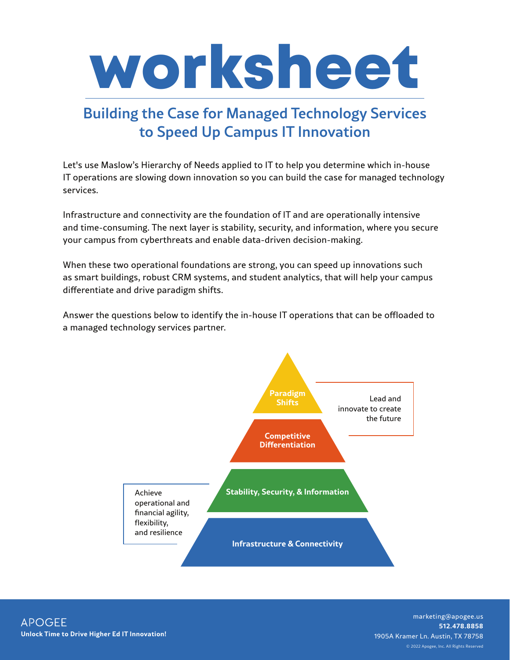

## Building the Case for Managed Technology Services to Speed Up Campus IT Innovation

Let's use Maslow's Hierarchy of Needs applied to IT to help you determine which in-house IT operations are slowing down innovation so you can build the case for managed technology services.

Infrastructure and connectivity are the foundation of IT and are operationally intensive and time-consuming. The next layer is stability, security, and information, where you secure your campus from cyberthreats and enable data-driven decision-making.

When these two operational foundations are strong, you can speed up innovations such as smart buildings, robust CRM systems, and student analytics, that will help your campus differentiate and drive paradigm shifts.

Answer the questions below to identify the in-house IT operations that can be offloaded to a managed technology services partner.



© 2022 Apogee, Inc. All Rights Reserved marketing@apogee.us **512.478.8858**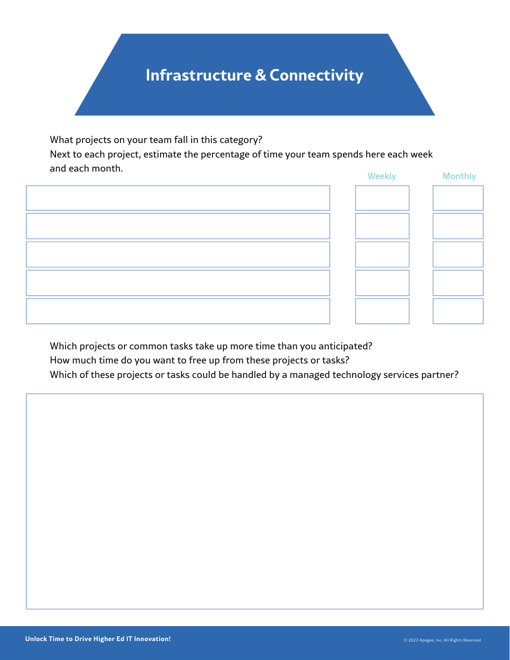## **Infrastructure & Connectivity**

What projects on your team fall in this category?

Next to each project, estimate the percentage of time your team spends here each week and each month. Weekly Monthly

|  | <b>VVEENIY</b> | <b>TVIOLIGHTY</b> |
|--|----------------|-------------------|
|  |                |                   |
|  |                |                   |
|  |                |                   |
|  |                |                   |
|  |                |                   |

Which projects or common tasks take up more time than you anticipated? How much time do you want to free up from these projects or tasks? Which of these projects or tasks could be handled by a managed technology services partner?

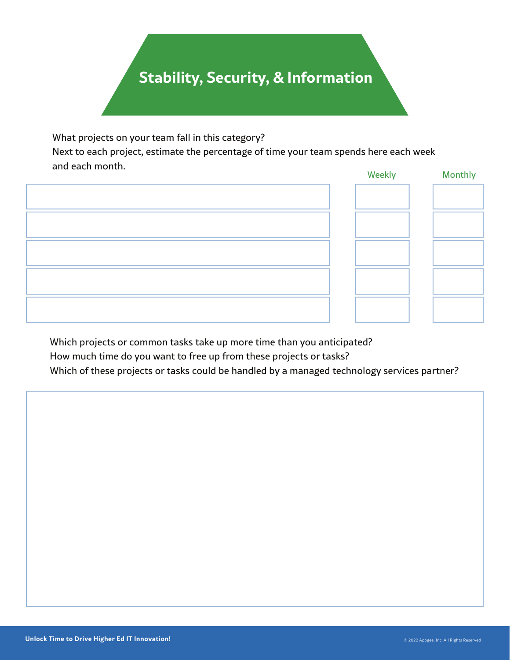## **Stability, Security, & Information**

What projects on your team fall in this category?

Next to each project, estimate the percentage of time your team spends here each week and each month. Weekly Monthly

|  | <b>VVEEKIY</b> | <b>MOTTLIN</b> |
|--|----------------|----------------|
|  |                |                |
|  |                |                |
|  |                |                |
|  |                |                |
|  |                |                |

Which projects or common tasks take up more time than you anticipated? How much time do you want to free up from these projects or tasks? Which of these projects or tasks could be handled by a managed technology services partner?